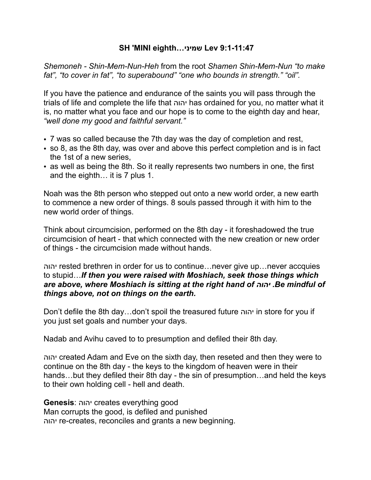### **SH 'MINI eighth…שמיני Lev 9:1-11:47**

*Shemoneh - Shin-Mem-Nun-Heh* from the root *Shamen Shin-Mem-Nun "to make fat", "to cover in fat", "to superabound" "one who bounds in strength." "oil".*

If you have the patience and endurance of the saints you will pass through the trials of life and complete the life that יהוה has ordained for you, no matter what it is, no matter what you face and our hope is to come to the eighth day and hear, *"well done my good and faithful servant."*

- 7 was so called because the 7th day was the day of completion and rest,
- so 8, as the 8th day, was over and above this perfect completion and is in fact the 1st of a new series,
- as well as being the 8th. So it really represents two numbers in one, the first and the eighth… it is 7 plus 1.

Noah was the 8th person who stepped out onto a new world order, a new earth to commence a new order of things. 8 souls passed through it with him to the new world order of things.

Think about circumcision, performed on the 8th day - it foreshadowed the true circumcision of heart - that which connected with the new creation or new order of things - the circumcision made without hands.

יהוה rested brethren in order for us to continue…never give up…never accquies to stupid…*If then you were raised with Moshiach, seek those things which are above, where Moshiach is sitting at the right hand of יהוה .Be mindful of things above, not on things on the earth.*

Don't defile the 8th day…don't spoil the treasured future יהוה in store for you if you just set goals and number your days.

Nadab and Avihu caved to to presumption and defiled their 8th day.

יהוה created Adam and Eve on the sixth day, then reseted and then they were to continue on the 8th day - the keys to the kingdom of heaven were in their hands…but they defiled their 8th day - the sin of presumption…and held the keys to their own holding cell - hell and death.

**Genesis**: יהוה creates everything good

Man corrupts the good, is defiled and punished יהוה re-creates, reconciles and grants a new beginning.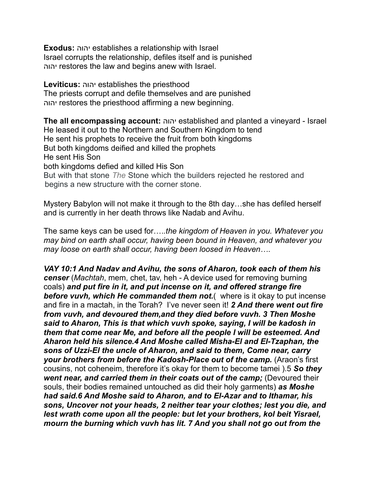**Exodus:** יהוה establishes a relationship with Israel Israel corrupts the relationship, defiles itself and is punished יהוה restores the law and begins anew with Israel.

**Leviticus:** יהוה establishes the priesthood The priests corrupt and defile themselves and are punished יהוה restores the priesthood affirming a new beginning.

**The all encompassing account:** יהוה established and planted a vineyard - Israel He leased it out to the Northern and Southern Kingdom to tend He sent his prophets to receive the fruit from both kingdoms But both kingdoms deified and killed the prophets He sent His Son both kingdoms defied and killed His Son But with that stone *The* Stone which the builders rejected he restored and begins a new structure with the corner stone.

Mystery Babylon will not make it through to the 8th day…she has defiled herself and is currently in her death throws like Nadab and Avihu.

The same keys can be used for….*.the kingdom of Heaven in you. Whatever you may bind on earth shall occur, having been bound in Heaven, and whatever you may loose on earth shall occur, having been loosed in Heaven…*.

*VAY 10:1 And Nadav and Avihu, the sons of Aharon, took each of them his censer* (*Machtah*, mem, chet, tav, heh - A device used for removing burning coals) *and put fire in it, and put incense on it, and offered strange fire before vuvh, which He commanded them not.*( where is it okay to put incense and fire in a mactah, in the Torah? I've never seen it! *2 And there went out fire from vuvh, and devoured them,and they died before vuvh. 3 Then Moshe said to Aharon, This is that which vuvh spoke, saying, I will be kadosh in them that come near Me, and before all the people I will be esteemed. And Aharon held his silence.4 And Moshe called Misha-El and El-Tzaphan, the sons of Uzzi-El the uncle of Aharon, and said to them, Come near, carry*  your brothers from before the Kadosh-Place out of the camp. (Araon's first cousins, not coheneim, therefore it's okay for them to become tamei ).5 *So they*  went near, and carried them in their coats out of the camp; (Devoured their souls, their bodies remained untouched as did their holy garments) *as Moshe had said.6 And Moshe said to Aharon, and to El-Azar and to Ithamar, his sons, Uncover not your heads, 2 neither tear your clothes; lest you die, and lest wrath come upon all the people: but let your brothers, kol beit Yisrael, mourn the burning which vuvh has lit. 7 And you shall not go out from the*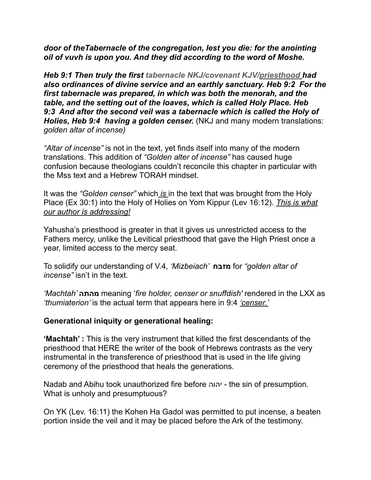*door of theTabernacle of the congregation, lest you die: for the anointing oil of vuvh is upon you. And they did according to the word of Moshe.*

*Heb 9:1 Then truly the first tabernacle NKJ/covenant KJV/priesthood had also ordinances of divine service and an earthly sanctuary. Heb 9:2 For the first tabernacle was prepared, in which was both the menorah, and the table, and the setting out of the loaves, which is called Holy Place. Heb 9:3 And after the second veil was a tabernacle which is called the Holy of Holies, Heb 9:4 having a golden censer.* (NKJ and many modern translations: *golden altar of incense)*

*"Altar of incense"* is not in the text, yet finds itself into many of the modern translations. This addition of *"Golden alter of incense"* has caused huge confusion because theologians couldn't reconcile this chapter in particular with the Mss text and a Hebrew TORAH mindset.

It was the *"Golden censer"* which *is* in the text that was brought from the Holy Place (Ex 30:1) into the Holy of Holies on Yom Kippur (Lev 16:12). *This is what our author is addressing!*

Yahusha's priesthood is greater in that it gives us unrestricted access to the Fathers mercy, unlike the Levitical priesthood that gave the High Priest once a year, limited access to the mercy seat.

To solidify our understanding of V.4, *'Mizbeiach'* **מזבח** for *"golden altar of incense"* isn't in the text.

*'Machtah'* **מהתה** meaning '*fire holder, censer or snuffdish'* rendered in the LXX as *'thumiaterion'* is the actual term that appears here in 9:4 *'censer.'*

#### **Generational iniquity or generational healing:**

**'Machtah' :** This is the very instrument that killed the first descendants of the priesthood that HERE the writer of the book of Hebrews contrasts as the very instrumental in the transference of priesthood that is used in the life giving ceremony of the priesthood that heals the generations.

Nadab and Abihu took unauthorized fire before יהוה - the sin of presumption. What is unholy and presumptuous?

On YK (Lev. 16:11) the Kohen Ha Gadol was permitted to put incense, a beaten portion inside the veil and it may be placed before the Ark of the testimony.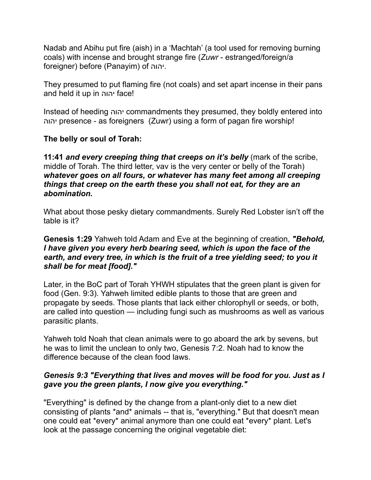Nadab and Abihu put fire (aish) in a 'Machtah' (a tool used for removing burning coals) with incense and brought strange fire (*Zuwr* - estranged/foreign/a foreigner) before (Panayim) of יהוה.

They presumed to put flaming fire (not coals) and set apart incense in their pans and held it up in יהוה face!

Instead of heeding יהוה commandments they presumed, they boldly entered into יהוה presence - as foreigners (Zuwr) using a form of pagan fire worship!

# **The belly or soul of Torah:**

**11:41** *and every creeping thing that creeps on it's belly* (mark of the scribe, middle of Torah. The third letter, vav is the very center or belly of the Torah) *whatever goes on all fours, or whatever has many feet among all creeping things that creep on the earth these you shall not eat, for they are an abomination.*

What about those pesky dietary commandments. Surely Red Lobster isn't off the table is it?

### **Genesis 1:29** Yahweh told Adam and Eve at the beginning of creation, *"Behold, I have given you every herb bearing seed, which is upon the face of the earth, and every tree, in which is the fruit of a tree yielding seed; to you it shall be for meat [food]."*

Later, in the BoC part of Torah YHWH stipulates that the green plant is given for food (Gen. 9:3). Yahweh limited edible plants to those that are green and propagate by seeds. Those plants that lack either chlorophyll or seeds, or both, are called into question — including fungi such as mushrooms as well as various parasitic plants.

Yahweh told Noah that clean animals were to go aboard the ark by sevens, but he was to limit the unclean to only two, Genesis 7:2. Noah had to know the difference because of the clean food laws.

# *Genesis 9:3 "Everything that lives and moves will be food for you. Just as I gave you the green plants, I now give you everything."*

"Everything" is defined by the change from a plant-only diet to a new diet consisting of plants \*and\* animals -- that is, "everything." But that doesn't mean one could eat \*every\* animal anymore than one could eat \*every\* plant. Let's look at the passage concerning the original vegetable diet: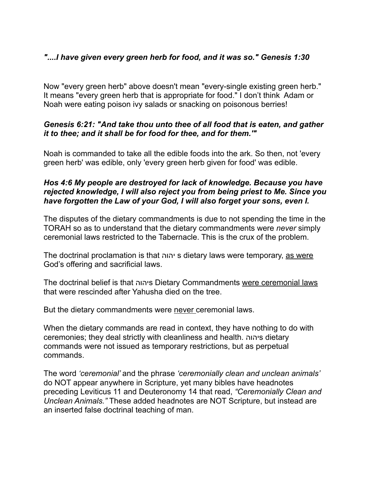# *"....I have given every green herb for food, and it was so." Genesis 1:30*

Now "every green herb" above doesn't mean "every-single existing green herb." It means "every green herb that is appropriate for food." I don't think Adam or Noah were eating poison ivy salads or snacking on poisonous berries!

# *Genesis 6:21: "And take thou unto thee of all food that is eaten, and gather it to thee; and it shall be for food for thee, and for them.'"*

Noah is commanded to take all the edible foods into the ark. So then, not 'every green herb' was edible, only 'every green herb given for food' was edible.

# *Hos 4:6 My people are destroyed for lack of knowledge. Because you have rejected knowledge, I will also reject you from being priest to Me. Since you have forgotten the Law of your God, I will also forget your sons, even I.*

The disputes of the dietary commandments is due to not spending the time in the TORAH so as to understand that the dietary commandments were *never* simply ceremonial laws restricted to the Tabernacle. This is the crux of the problem.

The doctrinal proclamation is that יהוה s dietary laws were temporary, as were God's offering and sacrificial laws.

The doctrinal belief is that יהוהs Dietary Commandments were ceremonial laws that were rescinded after Yahusha died on the tree.

But the dietary commandments were never ceremonial laws.

When the dietary commands are read in context, they have nothing to do with ceremonies; they deal strictly with cleanliness and health. יהוהs dietary commands were not issued as temporary restrictions, but as perpetual commands.

The word *'ceremonial'* and the phrase *'ceremonially clean and unclean animals'*  do NOT appear anywhere in Scripture, yet many bibles have headnotes preceding Leviticus 11 and Deuteronomy 14 that read, *"Ceremonially Clean and Unclean Animals."* These added headnotes are NOT Scripture, but instead are an inserted false doctrinal teaching of man.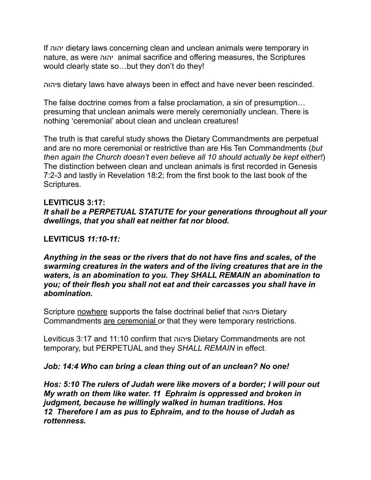If יהוה dietary laws concerning clean and unclean animals were temporary in nature, as were יהוה animal sacrifice and offering measures, the Scriptures would clearly state so…but they don't do they!

יהוהs dietary laws have always been in effect and have never been rescinded.

The false doctrine comes from a false proclamation, a sin of presumption… presuming that unclean animals were merely ceremonially unclean. There is nothing 'ceremonial' about clean and unclean creatures!

The truth is that careful study shows the Dietary Commandments are perpetual and are no more ceremonial or restrictive than are His Ten Commandments (*but then again the Church doesn't even believe all 10 should actually be kept either!*) The distinction between clean and unclean animals is first recorded in Genesis 7:2-3 and lastly in Revelation 18:2; from the first book to the last book of the Scriptures.

# **LEVITICUS 3:17:**

### *It shall be a PERPETUAL STATUTE for your generations throughout all your dwellings, that you shall eat neither fat nor blood.*

### **LEVITICUS** *11:10-11:*

#### *Anything in the seas or the rivers that do not have fins and scales, of the swarming creatures in the waters and of the living creatures that are in the waters, is an abomination to you. They SHALL REMAIN an abomination to you; of their flesh you shall not eat and their carcasses you shall have in abomination.*

Scripture nowhere supports the false doctrinal belief that יהוהs Dietary Commandments are ceremonial or that they were temporary restrictions.

Leviticus 3:17 and 11:10 confirm that יהוהs Dietary Commandments are not temporary, but PERPETUAL and they *SHALL REMAIN* in effect.

#### *Job: 14:4 Who can bring a clean thing out of an unclean? No one!*

*Hos: 5:10 The rulers of Judah were like movers of a border; I will pour out My wrath on them like water. 11 Ephraim is oppressed and broken in judgment, because he willingly walked in human traditions. Hos 12 Therefore I am as pus to Ephraim, and to the house of Judah as rottenness.*